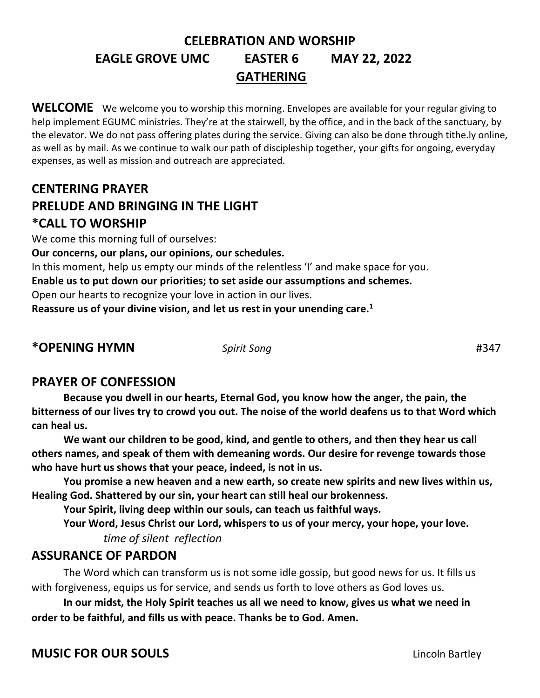# **CELEBRATION AND WORSHIP EAGLE GROVE UMC EASTER 6 MAY 22, 2022 GATHERING**

WELCOME We welcome you to worship this morning. Envelopes are available for your regular giving to help implement EGUMC ministries. They're at the stairwell, by the office, and in the back of the sanctuary, by the elevator. We do not pass offering plates during the service. Giving can also be done through tithe.ly online, as well as by mail. As we continue to walk our path of discipleship together, your gifts for ongoing, everyday expenses, as well as mission and outreach are appreciated.

# **CENTERING PRAYER PRELUDE AND BRINGING IN THE LIGHT \*CALL TO WORSHIP**

We come this morning full of ourselves:

**Our concerns, our plans, our opinions, our schedules.**

In this moment, help us empty our minds of the relentless 'I' and make space for you.

**Enable us to put down our priorities; to set aside our assumptions and schemes.**

Open our hearts to recognize your love in action in our lives.

**Reassure us of your divine vision, and let us rest in your unending care.<sup>1</sup>**

**\*OPENING HYMN** *Spirit Song* #347

## **PRAYER OF CONFESSION**

**Because you dwell in our hearts, Eternal God, you know how the anger, the pain, the bitterness of our lives try to crowd you out. The noise of the world deafens us to that Word which can heal us.** 

**We want our children to be good, kind, and gentle to others, and then they hear us call others names, and speak of them with demeaning words. Our desire for revenge towards those who have hurt us shows that your peace, indeed, is not in us.**

 **You promise a new heaven and a new earth, so create new spirits and new lives within us, Healing God. Shattered by our sin, your heart can still heal our brokenness.** 

**Your Spirit, living deep within our souls, can teach us faithful ways.** 

**Your Word, Jesus Christ our Lord, whispers to us of your mercy, your hope, your love.** *time of silent reflection* 

#### **ASSURANCE OF PARDON**

The Word which can transform us is not some idle gossip, but good news for us. It fills us with forgiveness, equips us for service, and sends us forth to love others as God loves us.

**In our midst, the Holy Spirit teaches us all we need to know, gives us what we need in order to be faithful, and fills us with peace. Thanks be to God. Amen.**

**MUSIC FOR OUR SOULS Lincoln Bartley**